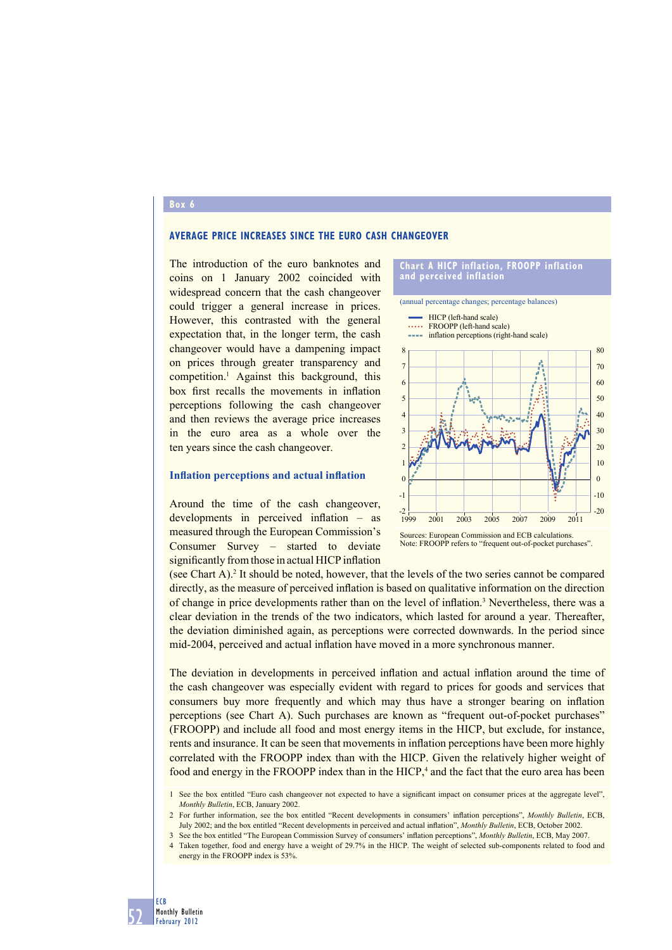#### **Box 6**

### **AVERAGE PRICE INCREASES SINCE THE EURO CASH CHANGEOVER**

The introduction of the euro banknotes and coins on 1 January 2002 coincided with widespread concern that the cash changeover could trigger a general increase in prices. However, this contrasted with the general expectation that, in the longer term, the cash changeover would have a dampening impact on prices through greater transparency and competition.1 Against this background, this box first recalls the movements in inflation perceptions following the cash changeover and then reviews the average price increases in the euro area as a whole over the ten years since the cash changeover.

## **Inflation perceptions and actual inflation**

Around the time of the cash changeover, developments in perceived inflation – as measured through the European Commission's Consumer Survey – started to deviate significantly from those in actual HICP inflation



(annual percentage changes; percentage balances)

 $=$  HICP (left-hand scale)

- ..... FROOPP (left-hand scale)
- inflation perceptions (right-hand scale)



Sources: European Commission and ECB calculations. Note: FROOPP refers to "frequent out-of-pocket purchases".

(see Chart A).<sup>2</sup> It should be noted, however, that the levels of the two series cannot be compared directly, as the measure of perceived inflation is based on qualitative information on the direction of change in price developments rather than on the level of inflation.<sup>3</sup> Nevertheless, there was a clear deviation in the trends of the two indicators, which lasted for around a year. Thereafter, the deviation diminished again, as perceptions were corrected downwards. In the period since mid-2004, perceived and actual inflation have moved in a more synchronous manner.

The deviation in developments in perceived inflation and actual inflation around the time of the cash changeover was especially evident with regard to prices for goods and services that consumers buy more frequently and which may thus have a stronger bearing on inflation perceptions (see Chart A). Such purchases are known as "frequent out-of-pocket purchases" (FROOPP) and include all food and most energy items in the HICP, but exclude, for instance, rents and insurance. It can be seen that movements in inflation perceptions have been more highly correlated with the FROOPP index than with the HICP. Given the relatively higher weight of food and energy in the FROOPP index than in the HICP,<sup>4</sup> and the fact that the euro area has been

<sup>4</sup> Taken together, food and energy have a weight of 29.7% in the HICP. The weight of selected sub-components related to food and energy in the FROOPP index is 53%.



<sup>1</sup> See the box entitled "Euro cash changeover not expected to have a significant impact on consumer prices at the aggregate level", *Monthly Bulletin*, ECB, January 2002.

<sup>2</sup> For further information, see the box entitled "Recent developments in consumers' inflation perceptions", *Monthly Bulletin*, ECB, July 2002; and the box entitled "Recent developments in perceived and actual inflation", *Monthly Bulletin*, ECB, October 2002.

<sup>3</sup> See the box entitled "The European Commission Survey of consumers' infl ation perceptions", *Monthly Bulletin*, ECB, May 2007.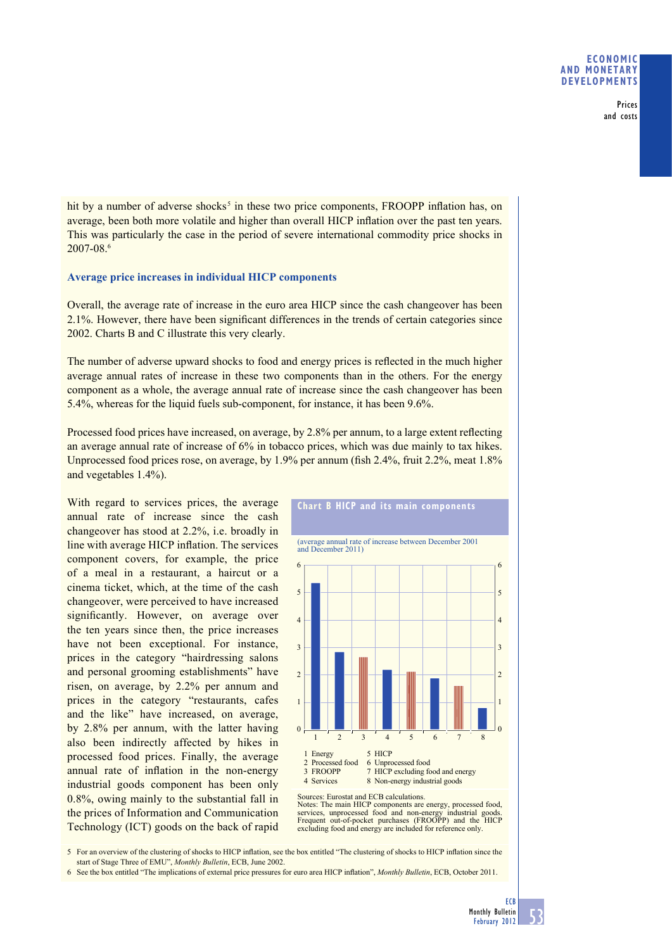## **ECONOMIC AND MONETARY DEVELOPMENTS**

Prices and costs

hit by a number of adverse shocks<sup>5</sup> in these two price components. FROOPP inflation has, on average, been both more volatile and higher than overall HICP inflation over the past ten years. This was particularly the case in the period of severe international commodity price shocks in 2007-08.6

# **Average price increases in individual HICP components**

Overall, the average rate of increase in the euro area HICP since the cash changeover has been 2.1%. However, there have been significant differences in the trends of certain categories since 2002. Charts B and C illustrate this very clearly.

The number of adverse upward shocks to food and energy prices is reflected in the much higher average annual rates of increase in these two components than in the others. For the energy component as a whole, the average annual rate of increase since the cash changeover has been 5.4%, whereas for the liquid fuels sub-component, for instance, it has been 9.6%.

Processed food prices have increased, on average, by 2.8% per annum, to a large extent reflecting an average annual rate of increase of 6% in tobacco prices, which was due mainly to tax hikes. Unprocessed food prices rose, on average, by  $1.9\%$  per annum (fish 2.4%, fruit 2.2%, meat  $1.8\%$ and vegetables 1.4%).

With regard to services prices, the average annual rate of increase since the cash changeover has stood at 2.2%, i.e. broadly in line with average HICP inflation. The services component covers, for example, the price of a meal in a restaurant, a haircut or a cinema ticket, which, at the time of the cash changeover, were perceived to have increased significantly. However, on average over the ten years since then, the price increases have not been exceptional. For instance, prices in the category "hairdressing salons and personal grooming establishments" have risen, on average, by 2.2% per annum and prices in the category "restaurants, cafes and the like" have increased, on average, by 2.8% per annum, with the latter having also been indirectly affected by hikes in processed food prices. Finally, the average annual rate of inflation in the non-energy industrial goods component has been only 0.8%, owing mainly to the substantial fall in the prices of Information and Communication Technology (ICT) goods on the back of rapid



Notes: The main HICP components are energy, processed food, services, unprocessed food and non-energy industrial goods. Frequent out-of-pocket purchases (FROOPP) and the HICP excluding food and energy are included for reference only.

5 For an overview of the clustering of shocks to HICP inflation, see the box entitled "The clustering of shocks to HICP inflation since the start of Stage Three of EMU", *Monthly Bulletin*, ECB, June 2002.

6 See the box entitled "The implications of external price pressures for euro area HICP inflation", *Monthly Bulletin*, ECB, October 2011.